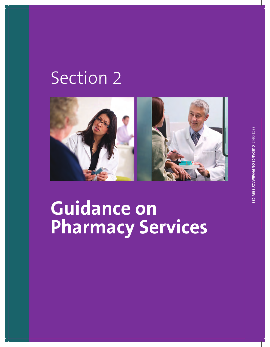## Section 2



## **Guidance on Pharmacy Services**